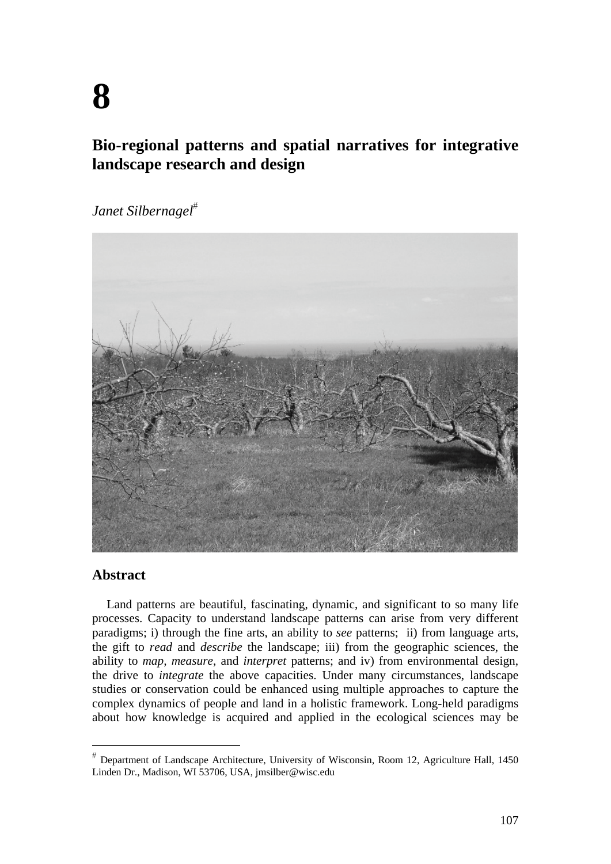# **Bio-regional patterns and spatial narratives for integrative landscape research and design**

*Janet Silbernagel*



## **Abstract**

Land patterns are beautiful, fascinating, dynamic, and significant to so many life processes. Capacity to understand landscape patterns can arise from very different paradigms; i) through the fine arts, an ability to *see* patterns; ii) from language arts, the gift to *read* and *describe* the landscape; iii) from the geographic sciences, the ability to *map, measure*, and *interpret* patterns; and iv) from environmental design, the drive to *integrate* the above capacities. Under many circumstances, landscape studies or conservation could be enhanced using multiple approaches to capture the complex dynamics of people and land in a holistic framework. Long-held paradigms about how knowledge is acquired and applied in the ecological sciences may be

Department of Landscape Architecture, University of Wisconsin, Room 12, Agriculture Hall, 1450 Linden Dr., Madison, WI 53706, USA, jmsilber@wisc.edu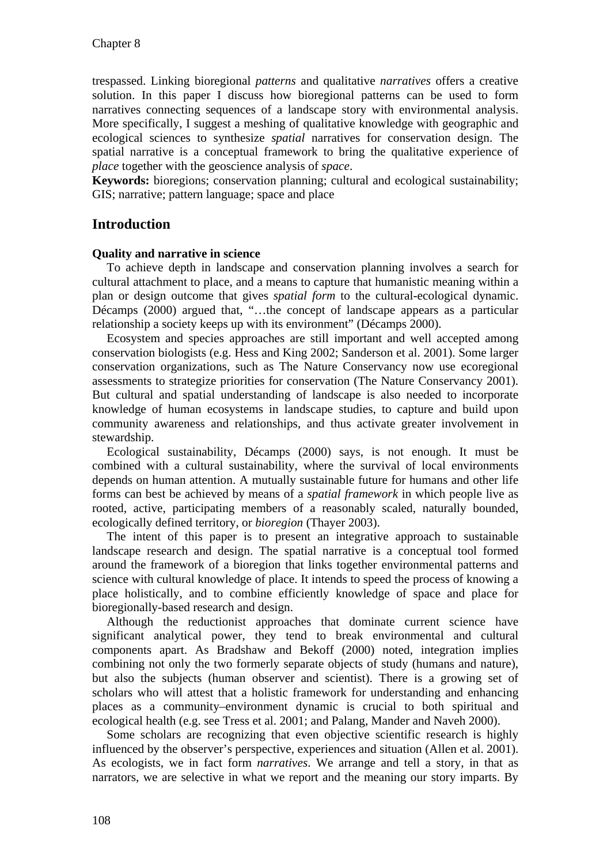trespassed. Linking bioregional *patterns* and qualitative *narratives* offers a creative solution. In this paper I discuss how bioregional patterns can be used to form narratives connecting sequences of a landscape story with environmental analysis. More specifically, I suggest a meshing of qualitative knowledge with geographic and ecological sciences to synthesize *spatial* narratives for conservation design. The spatial narrative is a conceptual framework to bring the qualitative experience of *place* together with the geoscience analysis of *space*.

**Keywords:** bioregions; conservation planning; cultural and ecological sustainability; GIS; narrative; pattern language; space and place

# **Introduction**

#### **Quality and narrative in science**

To achieve depth in landscape and conservation planning involves a search for cultural attachment to place, and a means to capture that humanistic meaning within a plan or design outcome that gives *spatial form* to the cultural-ecological dynamic. Décamps (2000) argued that, "…the concept of landscape appears as a particular relationship a society keeps up with its environment" (Décamps 2000).

Ecosystem and species approaches are still important and well accepted among conservation biologists (e.g. Hess and King 2002; Sanderson et al. 2001). Some larger conservation organizations, such as The Nature Conservancy now use ecoregional assessments to strategize priorities for conservation (The Nature Conservancy 2001). But cultural and spatial understanding of landscape is also needed to incorporate knowledge of human ecosystems in landscape studies, to capture and build upon community awareness and relationships, and thus activate greater involvement in stewardship.

Ecological sustainability, Décamps (2000) says, is not enough. It must be combined with a cultural sustainability, where the survival of local environments depends on human attention. A mutually sustainable future for humans and other life forms can best be achieved by means of a *spatial framework* in which people live as rooted, active, participating members of a reasonably scaled, naturally bounded, ecologically defined territory, or *bioregion* (Thayer 2003).

The intent of this paper is to present an integrative approach to sustainable landscape research and design. The spatial narrative is a conceptual tool formed around the framework of a bioregion that links together environmental patterns and science with cultural knowledge of place. It intends to speed the process of knowing a place holistically, and to combine efficiently knowledge of space and place for bioregionally-based research and design.

Although the reductionist approaches that dominate current science have significant analytical power, they tend to break environmental and cultural components apart. As Bradshaw and Bekoff (2000) noted, integration implies combining not only the two formerly separate objects of study (humans and nature), but also the subjects (human observer and scientist). There is a growing set of scholars who will attest that a holistic framework for understanding and enhancing places as a community–environment dynamic is crucial to both spiritual and ecological health (e.g. see Tress et al. 2001; and Palang, Mander and Naveh 2000).

Some scholars are recognizing that even objective scientific research is highly influenced by the observer's perspective, experiences and situation (Allen et al. 2001). As ecologists, we in fact form *narratives*. We arrange and tell a story, in that as narrators, we are selective in what we report and the meaning our story imparts. By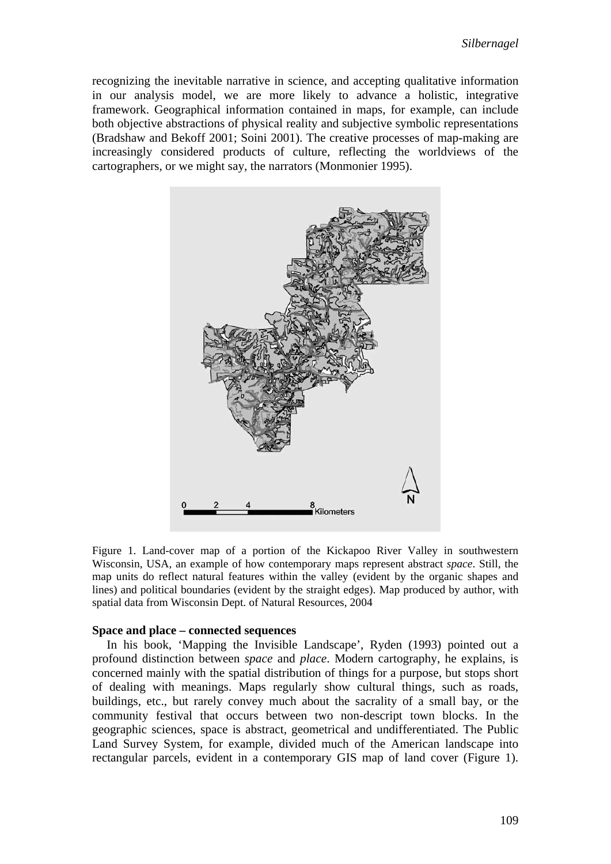recognizing the inevitable narrative in science, and accepting qualitative information in our analysis model, we are more likely to advance a holistic, integrative framework. Geographical information contained in maps, for example, can include both objective abstractions of physical reality and subjective symbolic representations (Bradshaw and Bekoff 2001; Soini 2001). The creative processes of map-making are increasingly considered products of culture, reflecting the worldviews of the cartographers, or we might say, the narrators (Monmonier 1995).



Figure 1. Land-cover map of a portion of the Kickapoo River Valley in southwestern Wisconsin, USA, an example of how contemporary maps represent abstract *space*. Still, the map units do reflect natural features within the valley (evident by the organic shapes and lines) and political boundaries (evident by the straight edges). Map produced by author, with spatial data from Wisconsin Dept. of Natural Resources, 2004

#### **Space and place – connected sequences**

In his book, 'Mapping the Invisible Landscape', Ryden (1993) pointed out a profound distinction between *space* and *place*. Modern cartography, he explains, is concerned mainly with the spatial distribution of things for a purpose, but stops short of dealing with meanings. Maps regularly show cultural things, such as roads, buildings, etc., but rarely convey much about the sacrality of a small bay, or the community festival that occurs between two non-descript town blocks. In the geographic sciences, space is abstract, geometrical and undifferentiated. The Public Land Survey System, for example, divided much of the American landscape into rectangular parcels, evident in a contemporary GIS map of land cover (Figure 1).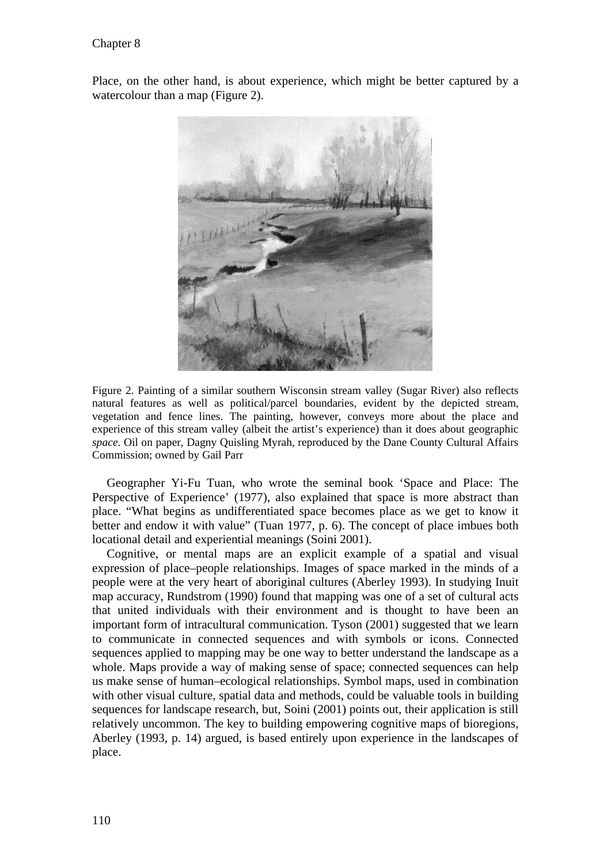Place, on the other hand, is about experience, which might be better captured by a watercolour than a map (Figure 2).



Figure 2. Painting of a similar southern Wisconsin stream valley (Sugar River) also reflects natural features as well as political/parcel boundaries, evident by the depicted stream, vegetation and fence lines. The painting, however, conveys more about the place and experience of this stream valley (albeit the artist's experience) than it does about geographic *space*. Oil on paper, Dagny Quisling Myrah, reproduced by the Dane County Cultural Affairs Commission; owned by Gail Parr

Geographer Yi-Fu Tuan, who wrote the seminal book 'Space and Place: The Perspective of Experience' (1977), also explained that space is more abstract than place. "What begins as undifferentiated space becomes place as we get to know it better and endow it with value" (Tuan 1977, p. 6). The concept of place imbues both locational detail and experiential meanings (Soini 2001).

Cognitive, or mental maps are an explicit example of a spatial and visual expression of place–people relationships. Images of space marked in the minds of a people were at the very heart of aboriginal cultures (Aberley 1993). In studying Inuit map accuracy, Rundstrom (1990) found that mapping was one of a set of cultural acts that united individuals with their environment and is thought to have been an important form of intracultural communication. Tyson (2001) suggested that we learn to communicate in connected sequences and with symbols or icons. Connected sequences applied to mapping may be one way to better understand the landscape as a whole. Maps provide a way of making sense of space; connected sequences can help us make sense of human–ecological relationships. Symbol maps, used in combination with other visual culture, spatial data and methods, could be valuable tools in building sequences for landscape research, but, Soini (2001) points out, their application is still relatively uncommon. The key to building empowering cognitive maps of bioregions, Aberley (1993, p. 14) argued, is based entirely upon experience in the landscapes of place.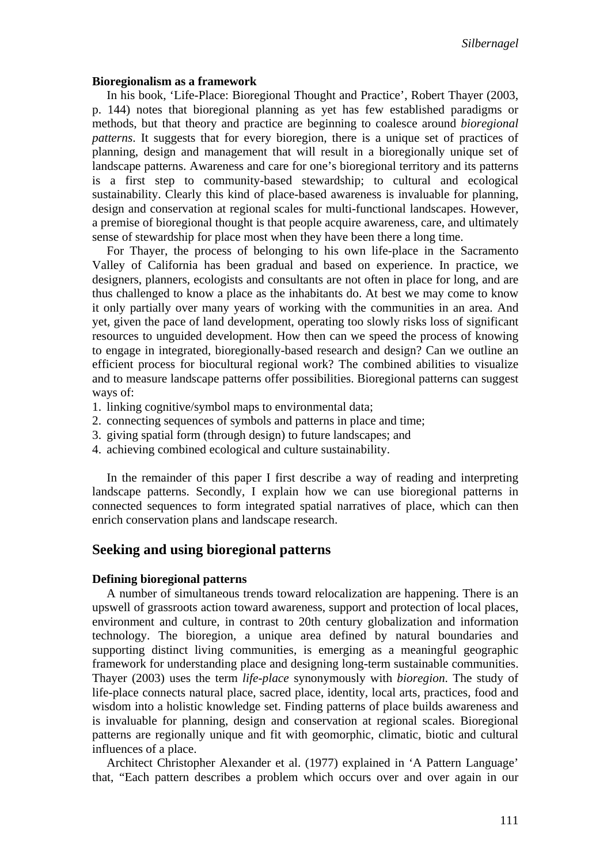#### **Bioregionalism as a framework**

In his book, 'Life-Place: Bioregional Thought and Practice', Robert Thayer (2003, p. 144) notes that bioregional planning as yet has few established paradigms or methods, but that theory and practice are beginning to coalesce around *bioregional patterns*. It suggests that for every bioregion, there is a unique set of practices of planning, design and management that will result in a bioregionally unique set of landscape patterns. Awareness and care for one's bioregional territory and its patterns is a first step to community-based stewardship; to cultural and ecological sustainability. Clearly this kind of place-based awareness is invaluable for planning, design and conservation at regional scales for multi-functional landscapes. However, a premise of bioregional thought is that people acquire awareness, care, and ultimately sense of stewardship for place most when they have been there a long time.

For Thayer, the process of belonging to his own life-place in the Sacramento Valley of California has been gradual and based on experience. In practice, we designers, planners, ecologists and consultants are not often in place for long, and are thus challenged to know a place as the inhabitants do. At best we may come to know it only partially over many years of working with the communities in an area. And yet, given the pace of land development, operating too slowly risks loss of significant resources to unguided development. How then can we speed the process of knowing to engage in integrated, bioregionally-based research and design? Can we outline an efficient process for biocultural regional work? The combined abilities to visualize and to measure landscape patterns offer possibilities. Bioregional patterns can suggest ways of:

- 1. linking cognitive/symbol maps to environmental data;
- 2. connecting sequences of symbols and patterns in place and time;
- 3. giving spatial form (through design) to future landscapes; and
- 4. achieving combined ecological and culture sustainability.

In the remainder of this paper I first describe a way of reading and interpreting landscape patterns. Secondly, I explain how we can use bioregional patterns in connected sequences to form integrated spatial narratives of place, which can then enrich conservation plans and landscape research.

## **Seeking and using bioregional patterns**

#### **Defining bioregional patterns**

A number of simultaneous trends toward relocalization are happening. There is an upswell of grassroots action toward awareness, support and protection of local places, environment and culture, in contrast to 20th century globalization and information technology. The bioregion, a unique area defined by natural boundaries and supporting distinct living communities, is emerging as a meaningful geographic framework for understanding place and designing long-term sustainable communities. Thayer (2003) uses the term *life-place* synonymously with *bioregion*. The study of life-place connects natural place, sacred place, identity, local arts, practices, food and wisdom into a holistic knowledge set. Finding patterns of place builds awareness and is invaluable for planning, design and conservation at regional scales. Bioregional patterns are regionally unique and fit with geomorphic, climatic, biotic and cultural influences of a place.

Architect Christopher Alexander et al. (1977) explained in 'A Pattern Language' that, "Each pattern describes a problem which occurs over and over again in our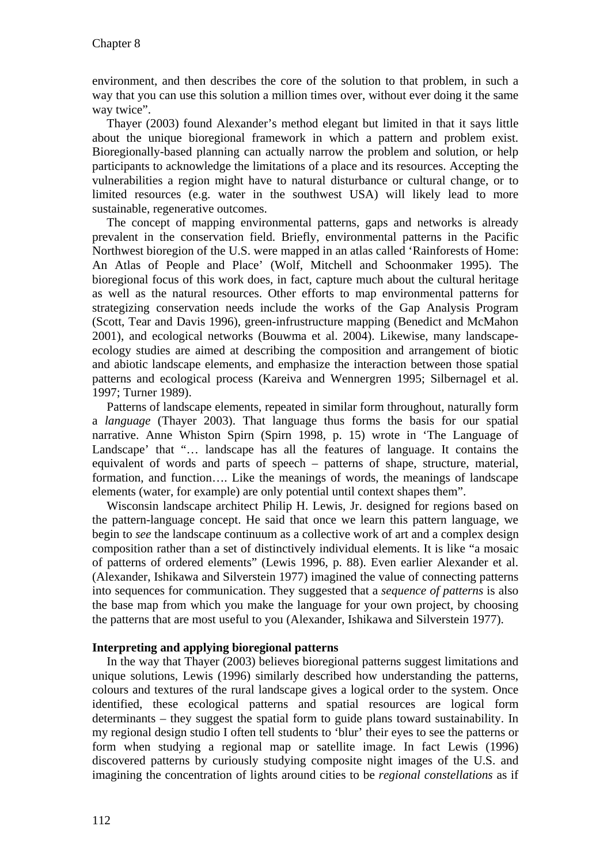environment, and then describes the core of the solution to that problem, in such a way that you can use this solution a million times over, without ever doing it the same way twice".

Thayer (2003) found Alexander's method elegant but limited in that it says little about the unique bioregional framework in which a pattern and problem exist. Bioregionally-based planning can actually narrow the problem and solution, or help participants to acknowledge the limitations of a place and its resources. Accepting the vulnerabilities a region might have to natural disturbance or cultural change, or to limited resources (e.g. water in the southwest USA) will likely lead to more sustainable, regenerative outcomes.

The concept of mapping environmental patterns, gaps and networks is already prevalent in the conservation field. Briefly, environmental patterns in the Pacific Northwest bioregion of the U.S. were mapped in an atlas called 'Rainforests of Home: An Atlas of People and Place' (Wolf, Mitchell and Schoonmaker 1995). The bioregional focus of this work does, in fact, capture much about the cultural heritage as well as the natural resources. Other efforts to map environmental patterns for strategizing conservation needs include the works of the Gap Analysis Program (Scott, Tear and Davis 1996), green-infrustructure mapping (Benedict and McMahon 2001), and ecological networks (Bouwma et al. 2004). Likewise, many landscapeecology studies are aimed at describing the composition and arrangement of biotic and abiotic landscape elements, and emphasize the interaction between those spatial patterns and ecological process (Kareiva and Wennergren 1995; Silbernagel et al. 1997; Turner 1989).

Patterns of landscape elements, repeated in similar form throughout, naturally form a *language* (Thayer 2003). That language thus forms the basis for our spatial narrative. Anne Whiston Spirn (Spirn 1998, p. 15) wrote in 'The Language of Landscape' that "… landscape has all the features of language. It contains the equivalent of words and parts of speech – patterns of shape, structure, material, formation, and function…. Like the meanings of words, the meanings of landscape elements (water, for example) are only potential until context shapes them".

Wisconsin landscape architect Philip H. Lewis, Jr. designed for regions based on the pattern-language concept. He said that once we learn this pattern language, we begin to *see* the landscape continuum as a collective work of art and a complex design composition rather than a set of distinctively individual elements. It is like "a mosaic of patterns of ordered elements" (Lewis 1996, p. 88). Even earlier Alexander et al. (Alexander, Ishikawa and Silverstein 1977) imagined the value of connecting patterns into sequences for communication. They suggested that a *sequence of patterns* is also the base map from which you make the language for your own project, by choosing the patterns that are most useful to you (Alexander, Ishikawa and Silverstein 1977).

#### **Interpreting and applying bioregional patterns**

In the way that Thayer (2003) believes bioregional patterns suggest limitations and unique solutions, Lewis (1996) similarly described how understanding the patterns, colours and textures of the rural landscape gives a logical order to the system. Once identified, these ecological patterns and spatial resources are logical form determinants – they suggest the spatial form to guide plans toward sustainability. In my regional design studio I often tell students to 'blur' their eyes to see the patterns or form when studying a regional map or satellite image. In fact Lewis (1996) discovered patterns by curiously studying composite night images of the U.S. and imagining the concentration of lights around cities to be *regional constellations* as if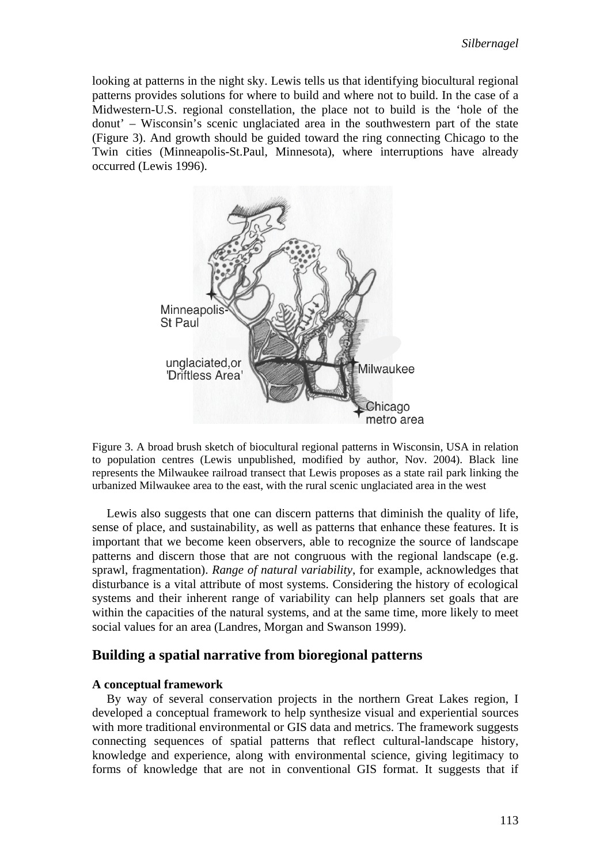looking at patterns in the night sky. Lewis tells us that identifying biocultural regional patterns provides solutions for where to build and where not to build. In the case of a Midwestern-U.S. regional constellation, the place not to build is the 'hole of the donut' – Wisconsin's scenic unglaciated area in the southwestern part of the state (Figure 3). And growth should be guided toward the ring connecting Chicago to the Twin cities (Minneapolis-St.Paul, Minnesota), where interruptions have already occurred (Lewis 1996).



Figure 3. A broad brush sketch of biocultural regional patterns in Wisconsin, USA in relation to population centres (Lewis unpublished, modified by author, Nov. 2004). Black line represents the Milwaukee railroad transect that Lewis proposes as a state rail park linking the urbanized Milwaukee area to the east, with the rural scenic unglaciated area in the west

Lewis also suggests that one can discern patterns that diminish the quality of life, sense of place, and sustainability, as well as patterns that enhance these features. It is important that we become keen observers, able to recognize the source of landscape patterns and discern those that are not congruous with the regional landscape (e.g. sprawl, fragmentation). *Range of natural variability*, for example, acknowledges that disturbance is a vital attribute of most systems. Considering the history of ecological systems and their inherent range of variability can help planners set goals that are within the capacities of the natural systems, and at the same time, more likely to meet social values for an area (Landres, Morgan and Swanson 1999).

#### **Building a spatial narrative from bioregional patterns**

#### **A conceptual framework**

By way of several conservation projects in the northern Great Lakes region, I developed a conceptual framework to help synthesize visual and experiential sources with more traditional environmental or GIS data and metrics. The framework suggests connecting sequences of spatial patterns that reflect cultural-landscape history, knowledge and experience, along with environmental science, giving legitimacy to forms of knowledge that are not in conventional GIS format. It suggests that if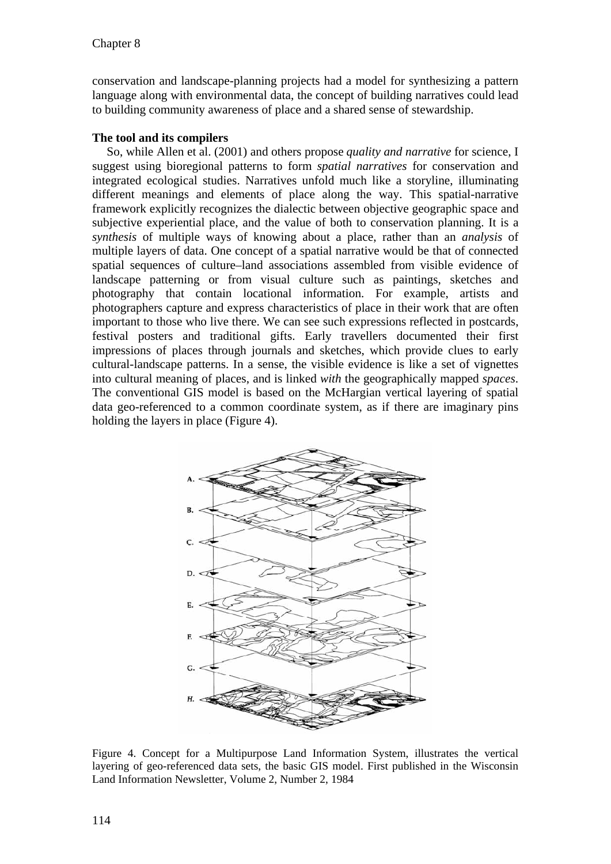conservation and landscape-planning projects had a model for synthesizing a pattern language along with environmental data, the concept of building narratives could lead to building community awareness of place and a shared sense of stewardship.

### **The tool and its compilers**

So, while Allen et al. (2001) and others propose *quality and narrative* for science, I suggest using bioregional patterns to form *spatial narratives* for conservation and integrated ecological studies. Narratives unfold much like a storyline, illuminating different meanings and elements of place along the way. This spatial-narrative framework explicitly recognizes the dialectic between objective geographic space and subjective experiential place, and the value of both to conservation planning. It is a *synthesis* of multiple ways of knowing about a place, rather than an *analysis* of multiple layers of data. One concept of a spatial narrative would be that of connected spatial sequences of culture–land associations assembled from visible evidence of landscape patterning or from visual culture such as paintings, sketches and photography that contain locational information. For example, artists and photographers capture and express characteristics of place in their work that are often important to those who live there. We can see such expressions reflected in postcards, festival posters and traditional gifts. Early travellers documented their first impressions of places through journals and sketches, which provide clues to early cultural-landscape patterns. In a sense, the visible evidence is like a set of vignettes into cultural meaning of places, and is linked *with* the geographically mapped *spaces*. The conventional GIS model is based on the McHargian vertical layering of spatial data geo-referenced to a common coordinate system, as if there are imaginary pins holding the layers in place (Figure 4).



Figure 4. Concept for a Multipurpose Land Information System, illustrates the vertical layering of geo-referenced data sets, the basic GIS model. First published in the Wisconsin Land Information Newsletter, Volume 2, Number 2, 1984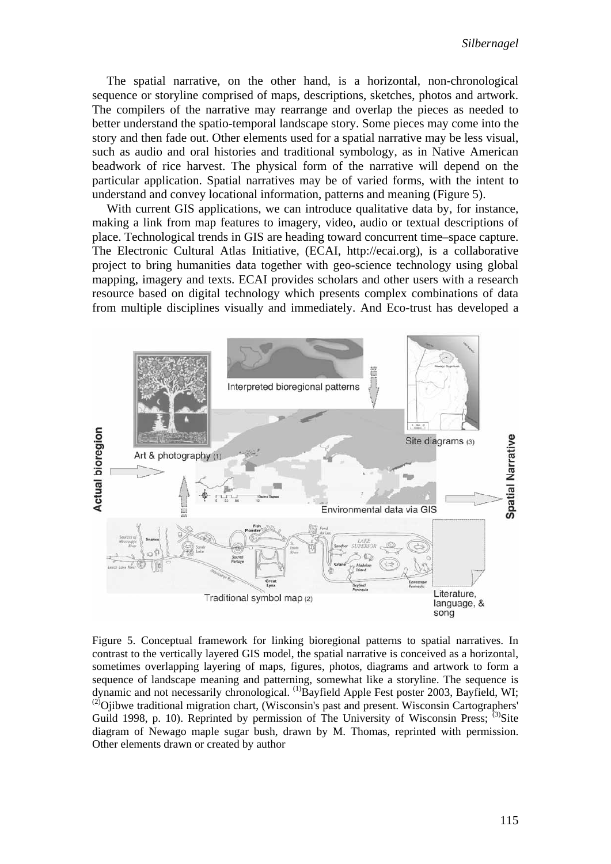The spatial narrative, on the other hand, is a horizontal, non-chronological sequence or storyline comprised of maps, descriptions, sketches, photos and artwork. The compilers of the narrative may rearrange and overlap the pieces as needed to better understand the spatio-temporal landscape story. Some pieces may come into the story and then fade out. Other elements used for a spatial narrative may be less visual, such as audio and oral histories and traditional symbology, as in Native American beadwork of rice harvest. The physical form of the narrative will depend on the particular application. Spatial narratives may be of varied forms, with the intent to understand and convey locational information, patterns and meaning (Figure 5).

With current GIS applications, we can introduce qualitative data by, for instance, making a link from map features to imagery, video, audio or textual descriptions of place. Technological trends in GIS are heading toward concurrent time–space capture. The Electronic Cultural Atlas Initiative, (ECAI, http://ecai.org), is a collaborative project to bring humanities data together with geo-science technology using global mapping, imagery and texts. ECAI provides scholars and other users with a research resource based on digital technology which presents complex combinations of data from multiple disciplines visually and immediately. And Eco-trust has developed a



Figure 5. Conceptual framework for linking bioregional patterns to spatial narratives. In contrast to the vertically layered GIS model, the spatial narrative is conceived as a horizontal, sometimes overlapping layering of maps, figures, photos, diagrams and artwork to form a sequence of landscape meaning and patterning, somewhat like a storyline. The sequence is dynamic and not necessarily chronological. <sup>(1)</sup>Bayfield Apple Fest poster 2003, Bayfield, WI;  $^{(2)}$ Ojibwe traditional migration chart, (Wisconsin's past and present. Wisconsin Cartographers' Guild 1998, p. 10). Reprinted by permission of The University of Wisconsin Press;  $^{(3)}$ Site diagram of Newago maple sugar bush, drawn by M. Thomas, reprinted with permission. Other elements drawn or created by author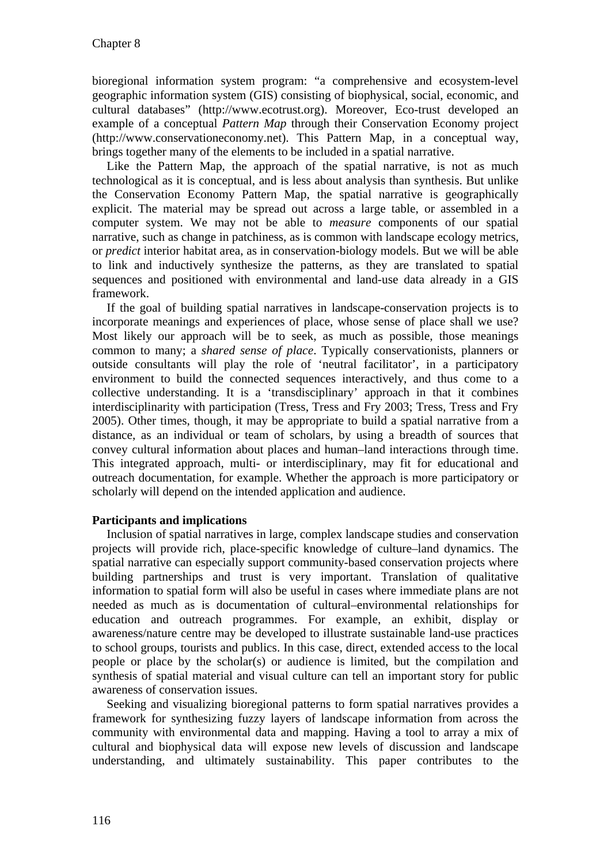bioregional information system program: "a comprehensive and ecosystem-level geographic information system (GIS) consisting of biophysical, social, economic, and cultural databases" (http://www.ecotrust.org). Moreover, Eco-trust developed an example of a conceptual *Pattern Map* through their Conservation Economy project (http://www.conservationeconomy.net). This Pattern Map, in a conceptual way, brings together many of the elements to be included in a spatial narrative.

Like the Pattern Map, the approach of the spatial narrative, is not as much technological as it is conceptual, and is less about analysis than synthesis. But unlike the Conservation Economy Pattern Map, the spatial narrative is geographically explicit. The material may be spread out across a large table, or assembled in a computer system. We may not be able to *measure* components of our spatial narrative, such as change in patchiness, as is common with landscape ecology metrics, or *predict* interior habitat area, as in conservation-biology models. But we will be able to link and inductively synthesize the patterns, as they are translated to spatial sequences and positioned with environmental and land-use data already in a GIS framework.

If the goal of building spatial narratives in landscape-conservation projects is to incorporate meanings and experiences of place, whose sense of place shall we use? Most likely our approach will be to seek, as much as possible, those meanings common to many; a *shared sense of place*. Typically conservationists, planners or outside consultants will play the role of 'neutral facilitator', in a participatory environment to build the connected sequences interactively, and thus come to a collective understanding. It is a 'transdisciplinary' approach in that it combines interdisciplinarity with participation (Tress, Tress and Fry 2003; Tress, Tress and Fry 2005). Other times, though, it may be appropriate to build a spatial narrative from a distance, as an individual or team of scholars, by using a breadth of sources that convey cultural information about places and human–land interactions through time. This integrated approach, multi- or interdisciplinary, may fit for educational and outreach documentation, for example. Whether the approach is more participatory or scholarly will depend on the intended application and audience.

#### **Participants and implications**

Inclusion of spatial narratives in large, complex landscape studies and conservation projects will provide rich, place-specific knowledge of culture–land dynamics. The spatial narrative can especially support community-based conservation projects where building partnerships and trust is very important. Translation of qualitative information to spatial form will also be useful in cases where immediate plans are not needed as much as is documentation of cultural–environmental relationships for education and outreach programmes. For example, an exhibit, display or awareness/nature centre may be developed to illustrate sustainable land-use practices to school groups, tourists and publics. In this case, direct, extended access to the local people or place by the scholar(s) or audience is limited, but the compilation and synthesis of spatial material and visual culture can tell an important story for public awareness of conservation issues.

Seeking and visualizing bioregional patterns to form spatial narratives provides a framework for synthesizing fuzzy layers of landscape information from across the community with environmental data and mapping. Having a tool to array a mix of cultural and biophysical data will expose new levels of discussion and landscape understanding, and ultimately sustainability. This paper contributes to the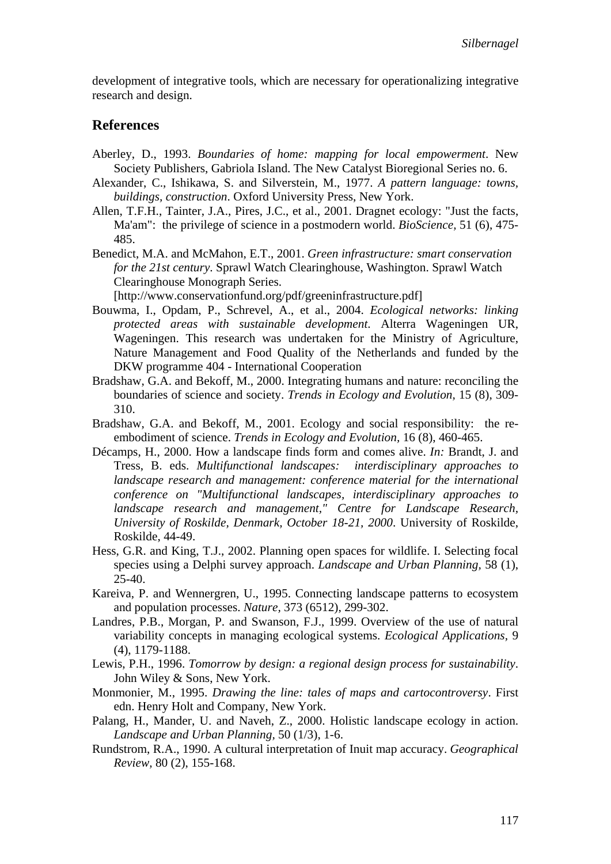development of integrative tools, which are necessary for operationalizing integrative research and design.

#### **References**

- Aberley, D., 1993. *Boundaries of home: mapping for local empowerment*. New Society Publishers, Gabriola Island. The New Catalyst Bioregional Series no. 6.
- Alexander, C., Ishikawa, S. and Silverstein, M., 1977. *A pattern language: towns, buildings, construction*. Oxford University Press, New York.
- Allen, T.F.H., Tainter, J.A., Pires, J.C., et al., 2001. Dragnet ecology: "Just the facts, Ma'am": the privilege of science in a postmodern world. *BioScience,* 51 (6), 475- 485.
- Benedict, M.A. and McMahon, E.T., 2001. *Green infrastructure: smart conservation for the 21st century*. Sprawl Watch Clearinghouse, Washington. Sprawl Watch Clearinghouse Monograph Series.

[http://www.conservationfund.org/pdf/greeninfrastructure.pdf]

- Bouwma, I., Opdam, P., Schrevel, A., et al., 2004. *Ecological networks: linking protected areas with sustainable development*. Alterra Wageningen UR, Wageningen. This research was undertaken for the Ministry of Agriculture, Nature Management and Food Quality of the Netherlands and funded by the DKW programme 404 - International Cooperation
- Bradshaw, G.A. and Bekoff, M., 2000. Integrating humans and nature: reconciling the boundaries of science and society. *Trends in Ecology and Evolution,* 15 (8), 309- 310.
- Bradshaw, G.A. and Bekoff, M., 2001. Ecology and social responsibility: the reembodiment of science. *Trends in Ecology and Evolution,* 16 (8), 460-465.
- Décamps, H., 2000. How a landscape finds form and comes alive. *In:* Brandt, J. and Tress, B. eds. *Multifunctional landscapes: interdisciplinary approaches to landscape research and management: conference material for the international conference on "Multifunctional landscapes, interdisciplinary approaches to landscape research and management," Centre for Landscape Research, University of Roskilde, Denmark, October 18-21, 2000*. University of Roskilde, Roskilde, 44-49.
- Hess, G.R. and King, T.J., 2002. Planning open spaces for wildlife. I. Selecting focal species using a Delphi survey approach. *Landscape and Urban Planning,* 58 (1), 25-40.
- Kareiva, P. and Wennergren, U., 1995. Connecting landscape patterns to ecosystem and population processes. *Nature,* 373 (6512), 299-302.
- Landres, P.B., Morgan, P. and Swanson, F.J., 1999. Overview of the use of natural variability concepts in managing ecological systems. *Ecological Applications,* 9 (4), 1179-1188.
- Lewis, P.H., 1996. *Tomorrow by design: a regional design process for sustainability*. John Wiley & Sons, New York.
- Monmonier, M., 1995. *Drawing the line: tales of maps and cartocontroversy*. First edn. Henry Holt and Company, New York.
- Palang, H., Mander, U. and Naveh, Z., 2000. Holistic landscape ecology in action. *Landscape and Urban Planning,* 50 (1/3), 1-6.
- Rundstrom, R.A., 1990. A cultural interpretation of Inuit map accuracy. *Geographical Review,* 80 (2), 155-168.